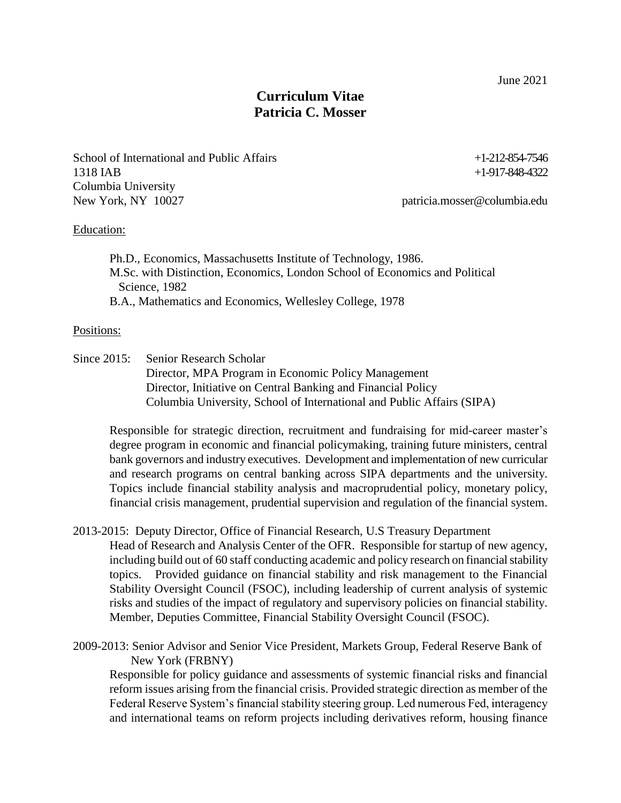June 2021

# **Curriculum Vitae Patricia C. Mosser**

School of International and Public Affairs  $+1-212-854-7546$ 1318 IAB +1-917-848-4322 Columbia University New York, NY 10027 patricia.mosser@columbia.edu

### Education:

Ph.D., Economics, Massachusetts Institute of Technology, 1986. M.Sc. with Distinction, Economics, London School of Economics and Political Science, 1982 B.A., Mathematics and Economics, Wellesley College, 1978

### Positions:

Since 2015: Senior Research Scholar Director, MPA Program in Economic Policy Management Director, Initiative on Central Banking and Financial Policy Columbia University, School of International and Public Affairs (SIPA)

Responsible for strategic direction, recruitment and fundraising for mid-career master's degree program in economic and financial policymaking, training future ministers, central bank governors and industry executives. Development and implementation of new curricular and research programs on central banking across SIPA departments and the university. Topics include financial stability analysis and macroprudential policy, monetary policy, financial crisis management, prudential supervision and regulation of the financial system.

- 2013-2015: Deputy Director, Office of Financial Research, U.S Treasury Department Head of Research and Analysis Center of the OFR. Responsible for startup of new agency, including build out of 60 staff conducting academic and policy research on financial stability topics. Provided guidance on financial stability and risk management to the Financial Stability Oversight Council (FSOC), including leadership of current analysis of systemic risks and studies of the impact of regulatory and supervisory policies on financial stability. Member, Deputies Committee, Financial Stability Oversight Council (FSOC).
- 2009-2013: Senior Advisor and Senior Vice President, Markets Group, Federal Reserve Bank of New York (FRBNY)

Responsible for policy guidance and assessments of systemic financial risks and financial reform issues arising from the financial crisis. Provided strategic direction as member of the Federal Reserve System's financial stability steering group. Led numerous Fed, interagency and international teams on reform projects including derivatives reform, housing finance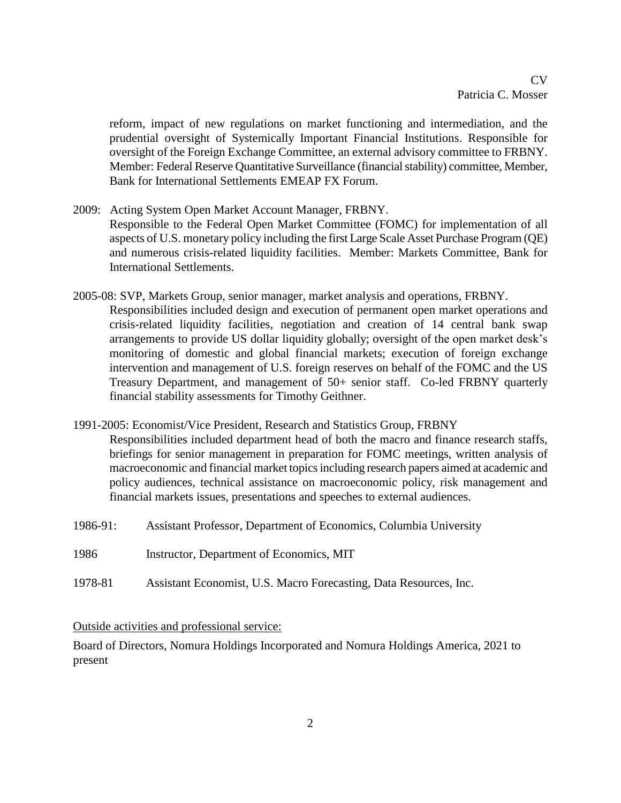reform, impact of new regulations on market functioning and intermediation, and the prudential oversight of Systemically Important Financial Institutions. Responsible for oversight of the Foreign Exchange Committee, an external advisory committee to FRBNY. Member: Federal Reserve Quantitative Surveillance (financial stability) committee, Member, Bank for International Settlements EMEAP FX Forum.

- 2009: Acting System Open Market Account Manager, FRBNY. Responsible to the Federal Open Market Committee (FOMC) for implementation of all aspects of U.S. monetary policy including the first Large Scale Asset Purchase Program (QE) and numerous crisis-related liquidity facilities. Member: Markets Committee, Bank for International Settlements.
- 2005-08: SVP, Markets Group, senior manager, market analysis and operations, FRBNY. Responsibilities included design and execution of permanent open market operations and crisis-related liquidity facilities, negotiation and creation of 14 central bank swap arrangements to provide US dollar liquidity globally; oversight of the open market desk's monitoring of domestic and global financial markets; execution of foreign exchange intervention and management of U.S. foreign reserves on behalf of the FOMC and the US Treasury Department, and management of 50+ senior staff. Co-led FRBNY quarterly financial stability assessments for Timothy Geithner.
- 1991-2005: Economist/Vice President, Research and Statistics Group, FRBNY Responsibilities included department head of both the macro and finance research staffs, briefings for senior management in preparation for FOMC meetings, written analysis of macroeconomic and financial market topicsincluding research papers aimed at academic and policy audiences, technical assistance on macroeconomic policy, risk management and financial markets issues, presentations and speeches to external audiences.
- 1986-91: Assistant Professor, Department of Economics, Columbia University
- 1986 Instructor, Department of Economics, MIT
- 1978-81 Assistant Economist, U.S. Macro Forecasting, Data Resources, Inc.

## Outside activities and professional service:

Board of Directors, Nomura Holdings Incorporated and Nomura Holdings America, 2021 to present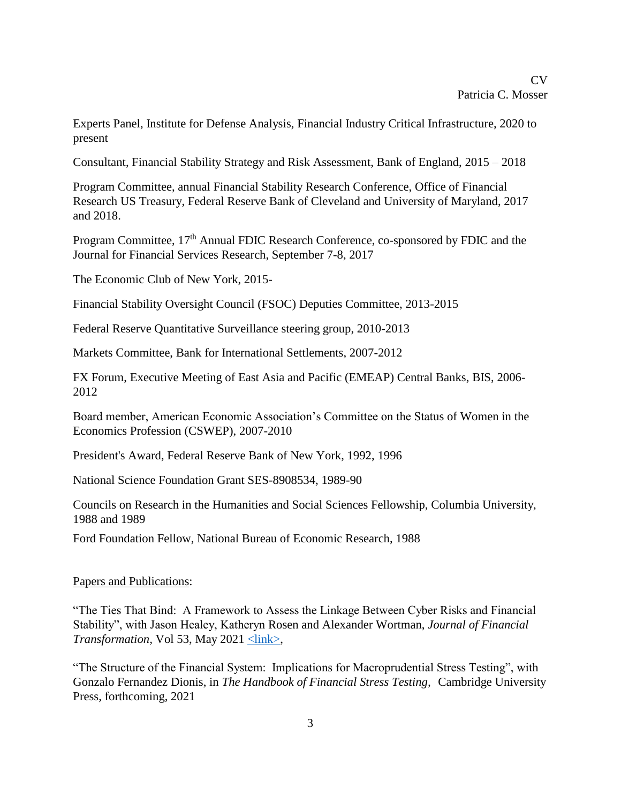Experts Panel, Institute for Defense Analysis, Financial Industry Critical Infrastructure, 2020 to present

Consultant, Financial Stability Strategy and Risk Assessment, Bank of England, 2015 – 2018

Program Committee, annual Financial Stability Research Conference, Office of Financial Research US Treasury, Federal Reserve Bank of Cleveland and University of Maryland, 2017 and 2018.

Program Committee, 17<sup>th</sup> Annual FDIC Research Conference, co-sponsored by FDIC and the Journal for Financial Services Research, September 7-8, 2017

The Economic Club of New York, 2015-

Financial Stability Oversight Council (FSOC) Deputies Committee, 2013-2015

Federal Reserve Quantitative Surveillance steering group, 2010-2013

Markets Committee, Bank for International Settlements, 2007-2012

FX Forum, Executive Meeting of East Asia and Pacific (EMEAP) Central Banks, BIS, 2006- 2012

Board member, American Economic Association's Committee on the Status of Women in the Economics Profession (CSWEP), 2007-2010

President's Award, Federal Reserve Bank of New York, 1992, 1996

National Science Foundation Grant SES-8908534, 1989-90

Councils on Research in the Humanities and Social Sciences Fellowship, Columbia University, 1988 and 1989

Ford Foundation Fellow, National Bureau of Economic Research, 1988

### Papers and Publications:

"The Ties That Bind: A Framework to Assess the Linkage Between Cyber Risks and Financial Stability", with Jason Healey, Katheryn Rosen and Alexander Wortman, *Journal of Financial Transformation,* Vol 53, May 2021  $\leq$ link>,

"The Structure of the Financial System: Implications for Macroprudential Stress Testing", with Gonzalo Fernandez Dionis, in *The Handbook of Financial Stress Testing,* Cambridge University Press, forthcoming, 2021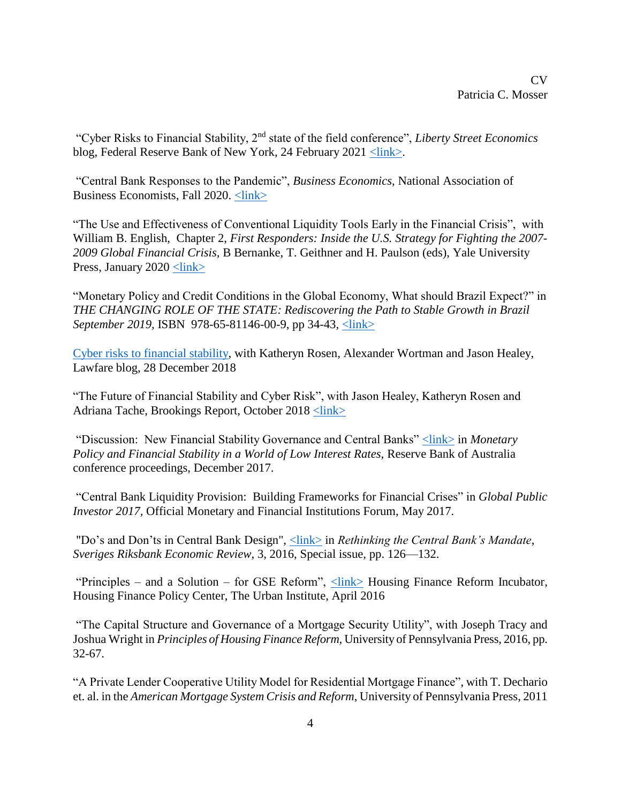"Cyber Risks to Financial Stability, 2nd state of the field conference", *Liberty Street Economics* blog, Federal Reserve Bank of New York, 24 February 2021 [<link>.](https://libertystreeteconomics.newyorkfed.org/2021/02/state-of-the-field-conference-on-cyber-risk-to-financial-stability.html)

"Central Bank Responses to the Pandemic", *Business Economics*, National Association of Business Economists, Fall 2020. [<link>](https://rdcu.be/caL4E)

"The Use and Effectiveness of Conventional Liquidity Tools Early in the Financial Crisis", with William B. English, Chapter 2, *First Responders: Inside the U.S. Strategy for Fighting the 2007- 2009 Global Financial Crisis,* B Bernanke, T. Geithner and H. Paulson (eds), Yale University Press, January 2020 [<link>](https://www.brookings.edu/wp-content/uploads/2018/08/01-Classic-LOLR-Prelim-Disc-Draft-2018.09.11.pdf)

"Monetary Policy and Credit Conditions in the Global Economy, What should Brazil Expect?" in *THE CHANGING ROLE OF THE STATE: Rediscovering the Path to Stable Growth in Brazil September 2019, ISBN 978-65-81146-00-9, pp 34-43, <link>* 

[Cyber risks to financial stability,](https://www.lawfareblog.com/cyber-risks-financial-stability) with Katheryn Rosen, Alexander Wortman and Jason Healey, Lawfare blog, 28 December 2018

"The Future of Financial Stability and Cyber Risk", with Jason Healey, Katheryn Rosen and Adriana Tache, Brookings Report, October 2018 [<link>](https://www.brookings.edu/research/the-future-of-financial-stability-and-cyber-risk/)

"Discussion: New Financial Stability Governance and Central Banks" [<link>](https://www.rba.gov.au/publications/confs/2017/pdf/rba-conference-volume-2017.pdf) in *Monetary Policy and Financial Stability in a World of Low Interest Rates,* Reserve Bank of Australia conference proceedings, December 2017.

"Central Bank Liquidity Provision: Building Frameworks for Financial Crises" in *Global Public Investor 2017,* Official Monetary and Financial Institutions Forum, May 2017.

"Do's and Don'ts in Central Bank Design", [<link>](http://www.riksbank.se/Documents/Rapporter/POV/2016/2016_3/rap_pov_161129_eng.pdf) in *Rethinking the Central Bank's Mandate*, *Sveriges Riksbank Economic Review*, 3, 2016, Special issue, pp. 126—132.

"Principles – and a Solution – for GSE Reform", [<link>](http://www.urban.org/policy-centers/housing-finance-policy-center/projects/housing-finance-reform-incubator) Housing Finance Reform Incubator, Housing Finance Policy Center, The Urban Institute, April 2016

"The Capital Structure and Governance of a Mortgage Security Utility", with Joseph Tracy and Joshua Wright in *Principles of Housing Finance Reform,* University of Pennsylvania Press, 2016, pp. 32-67.

"A Private Lender Cooperative Utility Model for Residential Mortgage Finance", with T. Dechario et. al. in the *American Mortgage System Crisis and Reform*, University of Pennsylvania Press, 2011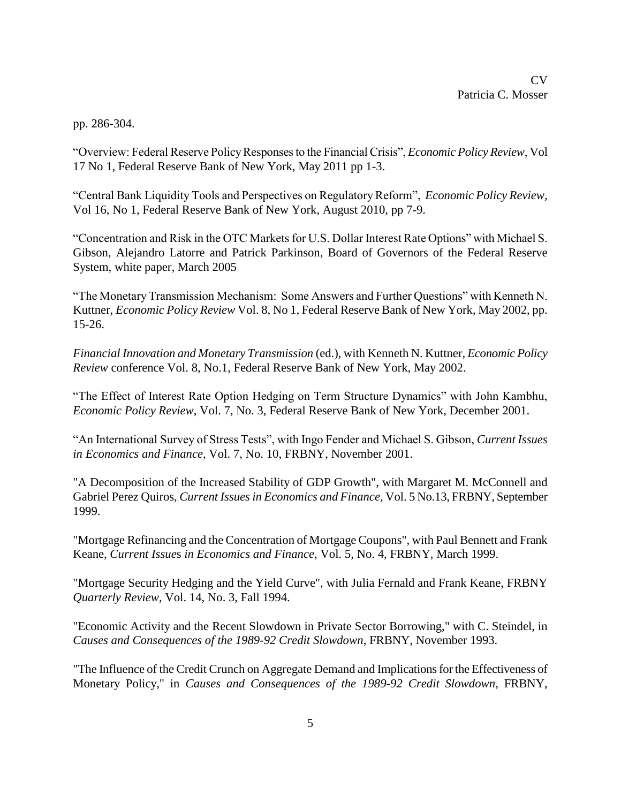pp. 286-304.

"Overview: Federal Reserve Policy Responses to the Financial Crisis", *Economic Policy Review,* Vol 17 No 1*,* Federal Reserve Bank of New York, May 2011 pp 1-3.

"Central Bank Liquidity Tools and Perspectives on Regulatory Reform", *Economic Policy Review,* Vol 16, No 1, Federal Reserve Bank of New York, August 2010, pp 7-9.

"Concentration and Risk in the OTC Markets for U.S. Dollar Interest Rate Options" with Michael S. Gibson, Alejandro Latorre and Patrick Parkinson, Board of Governors of the Federal Reserve System, white paper, March 2005

"The Monetary Transmission Mechanism: Some Answers and Further Questions" with Kenneth N. Kuttner, *Economic Policy Review* Vol. 8, No 1, Federal Reserve Bank of New York, May 2002, pp. 15-26.

*Financial Innovation and Monetary Transmission* (ed.), with Kenneth N. Kuttner, *Economic Policy Review* conference Vol. 8, No.1, Federal Reserve Bank of New York, May 2002.

"The Effect of Interest Rate Option Hedging on Term Structure Dynamics" with John Kambhu, *Economic Policy Review*, Vol. 7, No. 3, Federal Reserve Bank of New York, December 2001.

"An International Survey of Stress Tests", with Ingo Fender and Michael S. Gibson, *Current Issues in Economics and Finance*, Vol. 7, No. 10, FRBNY, November 2001.

"A Decomposition of the Increased Stability of GDP Growth", with Margaret M. McConnell and Gabriel Perez Quiros, *Current Issues in Economics and Finance,* Vol. 5 No.13, FRBNY, September 1999.

"Mortgage Refinancing and the Concentration of Mortgage Coupons", with Paul Bennett and Frank Keane, *Current Issue*s *in Economics and Finance*, Vol. 5, No. 4, FRBNY, March 1999.

"Mortgage Security Hedging and the Yield Curve", with Julia Fernald and Frank Keane, FRBNY *Quarterly Review*, Vol. 14, No. 3, Fall 1994.

"Economic Activity and the Recent Slowdown in Private Sector Borrowing," with C. Steindel, in *Causes and Consequences of the 1989-92 Credit Slowdown*, FRBNY, November 1993.

"The Influence of the Credit Crunch on Aggregate Demand and Implications for the Effectiveness of Monetary Policy," in *Causes and Consequences of the 1989-92 Credit Slowdown*, FRBNY,